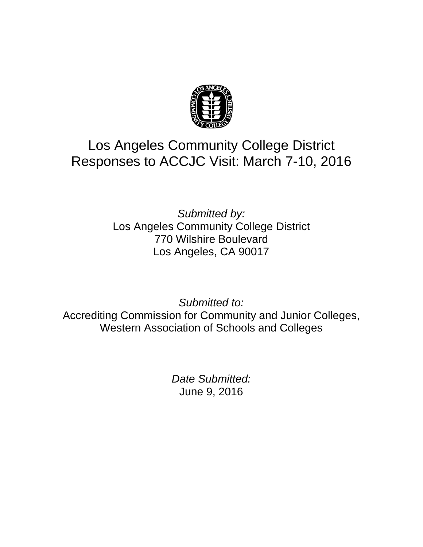

# Los Angeles Community College District Responses to ACCJC Visit: March 7-10, 2016

*Submitted by:* Los Angeles Community College District 770 Wilshire Boulevard Los Angeles, CA 90017

*Submitted to:* Accrediting Commission for Community and Junior Colleges, Western Association of Schools and Colleges

> *Date Submitted:* June 9, 2016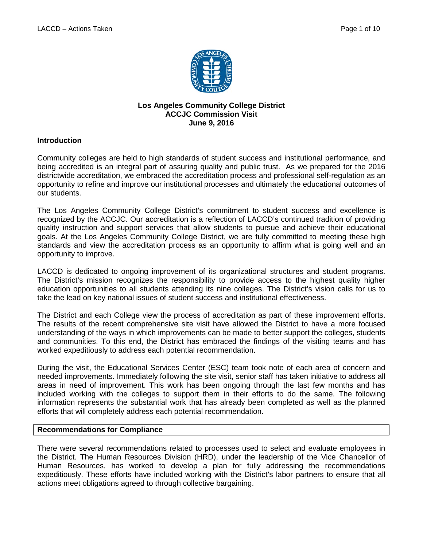

#### **Los Angeles Community College District ACCJC Commission Visit June 9, 2016**

## **Introduction**

Community colleges are held to high standards of student success and institutional performance, and being accredited is an integral part of assuring quality and public trust. As we prepared for the 2016 districtwide accreditation, we embraced the accreditation process and professional self-regulation as an opportunity to refine and improve our institutional processes and ultimately the educational outcomes of our students.

The Los Angeles Community College District's commitment to student success and excellence is recognized by the ACCJC. Our accreditation is a reflection of LACCD's continued tradition of providing quality instruction and support services that allow students to pursue and achieve their educational goals. At the Los Angeles Community College District, we are fully committed to meeting these high standards and view the accreditation process as an opportunity to affirm what is going well and an opportunity to improve.

LACCD is dedicated to ongoing improvement of its organizational structures and student programs. The District's mission recognizes the responsibility to provide access to the highest quality higher education opportunities to all students attending its nine colleges. The District's vision calls for us to take the lead on key national issues of student success and institutional effectiveness.

The District and each College view the process of accreditation as part of these improvement efforts. The results of the recent comprehensive site visit have allowed the District to have a more focused understanding of the ways in which improvements can be made to better support the colleges, students and communities. To this end, the District has embraced the findings of the visiting teams and has worked expeditiously to address each potential recommendation.

During the visit, the Educational Services Center (ESC) team took note of each area of concern and needed improvements. Immediately following the site visit, senior staff has taken initiative to address all areas in need of improvement. This work has been ongoing through the last few months and has included working with the colleges to support them in their efforts to do the same. The following information represents the substantial work that has already been completed as well as the planned efforts that will completely address each potential recommendation.

#### **Recommendations for Compliance**

There were several recommendations related to processes used to select and evaluate employees in the District. The Human Resources Division (HRD), under the leadership of the Vice Chancellor of Human Resources, has worked to develop a plan for fully addressing the recommendations expeditiously. These efforts have included working with the District's labor partners to ensure that all actions meet obligations agreed to through collective bargaining.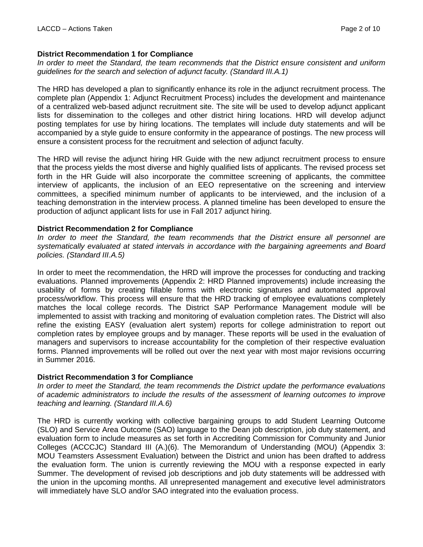# **District Recommendation 1 for Compliance**

*In order to meet the Standard, the team recommends that the District ensure consistent and uniform guidelines for the search and selection of adjunct faculty. (Standard III.A.1)*

The HRD has developed a plan to significantly enhance its role in the adjunct recruitment process. The complete plan (Appendix 1: Adjunct Recruitment Process) includes the development and maintenance of a centralized web-based adjunct recruitment site. The site will be used to develop adjunct applicant lists for dissemination to the colleges and other district hiring locations. HRD will develop adjunct posting templates for use by hiring locations. The templates will include duty statements and will be accompanied by a style guide to ensure conformity in the appearance of postings. The new process will ensure a consistent process for the recruitment and selection of adjunct faculty.

The HRD will revise the adjunct hiring HR Guide with the new adjunct recruitment process to ensure that the process yields the most diverse and highly qualified lists of applicants. The revised process set forth in the HR Guide will also incorporate the committee screening of applicants, the committee interview of applicants, the inclusion of an EEO representative on the screening and interview committees, a specified minimum number of applicants to be interviewed, and the inclusion of a teaching demonstration in the interview process. A planned timeline has been developed to ensure the production of adjunct applicant lists for use in Fall 2017 adjunct hiring.

# **District Recommendation 2 for Compliance**

*In order to meet the Standard, the team recommends that the District ensure all personnel are systematically evaluated at stated intervals in accordance with the bargaining agreements and Board policies. (Standard III.A.5)*

In order to meet the recommendation, the HRD will improve the processes for conducting and tracking evaluations. Planned improvements (Appendix 2: HRD Planned improvements) include increasing the usability of forms by creating fillable forms with electronic signatures and automated approval process/workflow. This process will ensure that the HRD tracking of employee evaluations completely matches the local college records. The District SAP Performance Management module will be implemented to assist with tracking and monitoring of evaluation completion rates. The District will also refine the existing EASY (evaluation alert system) reports for college administration to report out completion rates by employee groups and by manager. These reports will be used in the evaluation of managers and supervisors to increase accountability for the completion of their respective evaluation forms. Planned improvements will be rolled out over the next year with most major revisions occurring in Summer 2016.

# **District Recommendation 3 for Compliance**

*In order to meet the Standard, the team recommends the District update the performance evaluations of academic administrators to include the results of the assessment of learning outcomes to improve teaching and learning. (Standard III.A.6)*

The HRD is currently working with collective bargaining groups to add Student Learning Outcome (SLO) and Service Area Outcome (SAO) language to the Dean job description, job duty statement, and evaluation form to include measures as set forth in Accrediting Commission for Community and Junior Colleges (ACCCJC) Standard III (A.)(6). The Memorandum of Understanding (MOU) (Appendix 3: MOU Teamsters Assessment Evaluation) between the District and union has been drafted to address the evaluation form. The union is currently reviewing the MOU with a response expected in early Summer. The development of revised job descriptions and job duty statements will be addressed with the union in the upcoming months. All unrepresented management and executive level administrators will immediately have SLO and/or SAO integrated into the evaluation process.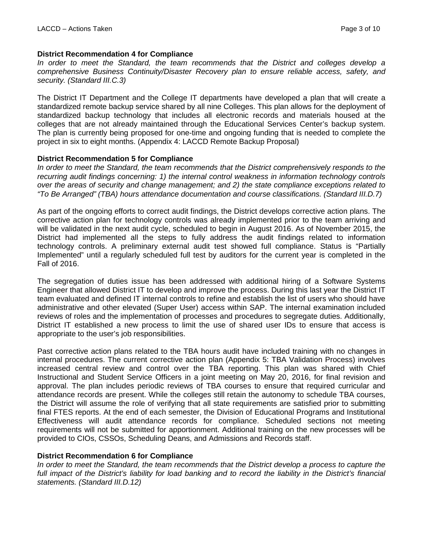# **District Recommendation 4 for Compliance**

In order to meet the Standard, the team recommends that the District and colleges develop a *comprehensive Business Continuity/Disaster Recovery plan to ensure reliable access, safety, and security. (Standard III.C.3)*

The District IT Department and the College IT departments have developed a plan that will create a standardized remote backup service shared by all nine Colleges. This plan allows for the deployment of standardized backup technology that includes all electronic records and materials housed at the colleges that are not already maintained through the Educational Services Center's backup system. The plan is currently being proposed for one-time and ongoing funding that is needed to complete the project in six to eight months. (Appendix 4: LACCD Remote Backup Proposal)

## **District Recommendation 5 for Compliance**

*In order to meet the Standard, the team recommends that the District comprehensively responds to the recurring audit findings concerning: 1) the internal control weakness in information technology controls over the areas of security and change management; and 2) the state compliance exceptions related to "To Be Arranged" (TBA) hours attendance documentation and course classifications. (Standard III.D.7)*

As part of the ongoing efforts to correct audit findings, the District develops corrective action plans. The corrective action plan for technology controls was already implemented prior to the team arriving and will be validated in the next audit cycle, scheduled to begin in August 2016. As of November 2015, the District had implemented all the steps to fully address the audit findings related to information technology controls. A preliminary external audit test showed full compliance. Status is "Partially Implemented" until a regularly scheduled full test by auditors for the current year is completed in the Fall of 2016.

The segregation of duties issue has been addressed with additional hiring of a Software Systems Engineer that allowed District IT to develop and improve the process. During this last year the District IT team evaluated and defined IT internal controls to refine and establish the list of users who should have administrative and other elevated (Super User) access within SAP. The internal examination included reviews of roles and the implementation of processes and procedures to segregate duties. Additionally, District IT established a new process to limit the use of shared user IDs to ensure that access is appropriate to the user's job responsibilities.

Past corrective action plans related to the TBA hours audit have included training with no changes in internal procedures. The current corrective action plan (Appendix 5: TBA Validation Process) involves increased central review and control over the TBA reporting. This plan was shared with Chief Instructional and Student Service Officers in a joint meeting on May 20, 2016, for final revision and approval. The plan includes periodic reviews of TBA courses to ensure that required curricular and attendance records are present. While the colleges still retain the autonomy to schedule TBA courses, the District will assume the role of verifying that all state requirements are satisfied prior to submitting final FTES reports. At the end of each semester, the Division of Educational Programs and Institutional Effectiveness will audit attendance records for compliance. Scheduled sections not meeting requirements will not be submitted for apportionment. Additional training on the new processes will be provided to CIOs, CSSOs, Scheduling Deans, and Admissions and Records staff.

# **District Recommendation 6 for Compliance**

*In order to meet the Standard, the team recommends that the District develop a process to capture the full impact of the District's liability for load banking and to record the liability in the District's financial statements. (Standard III.D.12)*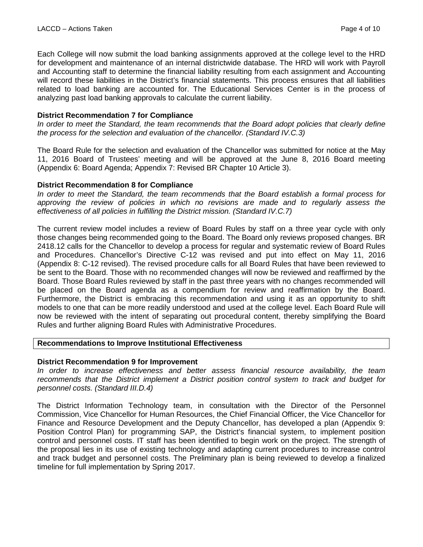Each College will now submit the load banking assignments approved at the college level to the HRD for development and maintenance of an internal districtwide database. The HRD will work with Payroll and Accounting staff to determine the financial liability resulting from each assignment and Accounting will record these liabilities in the District's financial statements. This process ensures that all liabilities related to load banking are accounted for. The Educational Services Center is in the process of analyzing past load banking approvals to calculate the current liability.

## **District Recommendation 7 for Compliance**

*In order to meet the Standard, the team recommends that the Board adopt policies that clearly define the process for the selection and evaluation of the chancellor. (Standard IV.C.3)*

The Board Rule for the selection and evaluation of the Chancellor was submitted for notice at the May 11, 2016 Board of Trustees' meeting and will be approved at the June 8, 2016 Board meeting (Appendix 6: Board Agenda; Appendix 7: Revised BR Chapter 10 Article 3).

# **District Recommendation 8 for Compliance**

*In order to meet the Standard, the team recommends that the Board establish a formal process for approving the review of policies in which no revisions are made and to regularly assess the effectiveness of all policies in fulfilling the District mission. (Standard IV.C.7)*

The current review model includes a review of Board Rules by staff on a three year cycle with only those changes being recommended going to the Board. The Board only reviews proposed changes. BR 2418.12 calls for the Chancellor to develop a process for regular and systematic review of Board Rules and Procedures. Chancellor's Directive C-12 was revised and put into effect on May 11, 2016 (Appendix 8: C-12 revised). The revised procedure calls for all Board Rules that have been reviewed to be sent to the Board. Those with no recommended changes will now be reviewed and reaffirmed by the Board. Those Board Rules reviewed by staff in the past three years with no changes recommended will be placed on the Board agenda as a compendium for review and reaffirmation by the Board. Furthermore, the District is embracing this recommendation and using it as an opportunity to shift models to one that can be more readily understood and used at the college level. Each Board Rule will now be reviewed with the intent of separating out procedural content, thereby simplifying the Board Rules and further aligning Board Rules with Administrative Procedures.

#### **Recommendations to Improve Institutional Effectiveness**

#### **District Recommendation 9 for Improvement**

*In order to increase effectiveness and better assess financial resource availability, the team recommends that the District implement a District position control system to track and budget for personnel costs. (Standard III.D.4)*

The District Information Technology team, in consultation with the Director of the Personnel Commission, Vice Chancellor for Human Resources, the Chief Financial Officer, the Vice Chancellor for Finance and Resource Development and the Deputy Chancellor, has developed a plan (Appendix 9: Position Control Plan) for programming SAP, the District's financial system, to implement position control and personnel costs. IT staff has been identified to begin work on the project. The strength of the proposal lies in its use of existing technology and adapting current procedures to increase control and track budget and personnel costs. The Preliminary plan is being reviewed to develop a finalized timeline for full implementation by Spring 2017.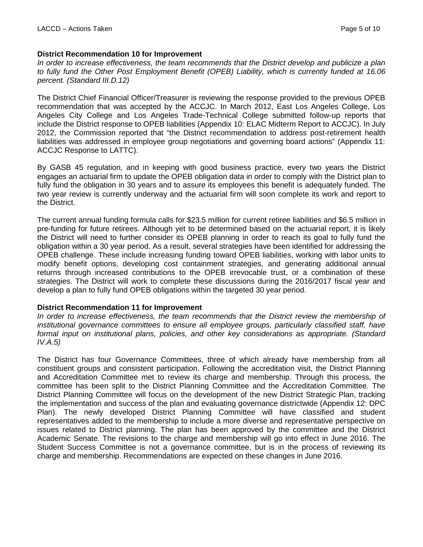# **District Recommendation 10 for Improvement**

*In order to increase effectiveness, the team recommends that the District develop and publicize a plan to fully fund the Other Post Employment Benefit (OPEB) Liability, which is currently funded at 16.06 percent. (Standard III.D.12)*

The District Chief Financial Officer/Treasurer is reviewing the response provided to the previous OPEB recommendation that was accepted by the ACCJC. In March 2012, East Los Angeles College, Los Angeles City College and Los Angeles Trade-Technical College submitted follow-up reports that include the District response to OPEB liabilities (Appendix 10: ELAC Midterm Report to ACCJC). In July 2012, the Commission reported that "the District recommendation to address post-retirement health liabilities was addressed in employee group negotiations and governing board actions" (Appendix 11: ACCJC Response to LATTC).

By GASB 45 regulation, and in keeping with good business practice, every two years the District engages an actuarial firm to update the OPEB obligation data in order to comply with the District plan to fully fund the obligation in 30 years and to assure its employees this benefit is adequately funded. The two year review is currently underway and the actuarial firm will soon complete its work and report to the District.

The current annual funding formula calls for \$23.5 million for current retiree liabilities and \$6.5 million in pre-funding for future retirees. Although yet to be determined based on the actuarial report, it is likely the District will need to further consider its OPEB planning in order to reach its goal to fully fund the obligation within a 30 year period. As a result, several strategies have been identified for addressing the OPEB challenge. These include increasing funding toward OPEB liabilities, working with labor units to modify benefit options, developing cost containment strategies, and generating additional annual returns through increased contributions to the OPEB irrevocable trust, or a combination of these strategies. The District will work to complete these discussions during the 2016/2017 fiscal year and develop a plan to fully fund OPEB obligations within the targeted 30 year period.

#### **District Recommendation 11 for Improvement**

*In order to increase effectiveness, the team recommends that the District review the membership of institutional governance committees to ensure all employee groups, particularly classified staff, have formal input on institutional plans, policies, and other key considerations as appropriate. (Standard IV.A.5)* 

The District has four Governance Committees, three of which already have membership from all constituent groups and consistent participation. Following the accreditation visit, the District Planning and Accreditation Committee met to review its charge and membership. Through this process, the committee has been split to the District Planning Committee and the Accreditation Committee. The District Planning Committee will focus on the development of the new District Strategic Plan, tracking the implementation and success of the plan and evaluating governance districtwide (Appendix 12: DPC Plan). The newly developed District Planning Committee will have classified and student representatives added to the membership to include a more diverse and representative perspective on issues related to District planning. The plan has been approved by the committee and the District Academic Senate. The revisions to the charge and membership will go into effect in June 2016. The Student Success Committee is not a governance committee, but is in the process of reviewing its charge and membership. Recommendations are expected on these changes in June 2016.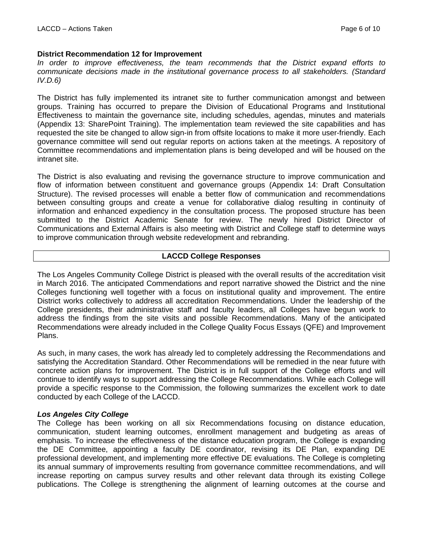# **District Recommendation 12 for Improvement**

*In order to improve effectiveness, the team recommends that the District expand efforts to communicate decisions made in the institutional governance process to all stakeholders. (Standard IV.D.6)*

The District has fully implemented its intranet site to further communication amongst and between groups. Training has occurred to prepare the Division of Educational Programs and Institutional Effectiveness to maintain the governance site, including schedules, agendas, minutes and materials (Appendix 13: SharePoint Training). The implementation team reviewed the site capabilities and has requested the site be changed to allow sign-in from offsite locations to make it more user-friendly. Each governance committee will send out regular reports on actions taken at the meetings. A repository of Committee recommendations and implementation plans is being developed and will be housed on the intranet site.

The District is also evaluating and revising the governance structure to improve communication and flow of information between constituent and governance groups (Appendix 14: Draft Consultation Structure). The revised processes will enable a better flow of communication and recommendations between consulting groups and create a venue for collaborative dialog resulting in continuity of information and enhanced expediency in the consultation process. The proposed structure has been submitted to the District Academic Senate for review. The newly hired District Director of Communications and External Affairs is also meeting with District and College staff to determine ways to improve communication through website redevelopment and rebranding.

## **LACCD College Responses**

The Los Angeles Community College District is pleased with the overall results of the accreditation visit in March 2016. The anticipated Commendations and report narrative showed the District and the nine Colleges functioning well together with a focus on institutional quality and improvement. The entire District works collectively to address all accreditation Recommendations. Under the leadership of the College presidents, their administrative staff and faculty leaders, all Colleges have begun work to address the findings from the site visits and possible Recommendations. Many of the anticipated Recommendations were already included in the College Quality Focus Essays (QFE) and Improvement Plans.

As such, in many cases, the work has already led to completely addressing the Recommendations and satisfying the Accreditation Standard. Other Recommendations will be remedied in the near future with concrete action plans for improvement. The District is in full support of the College efforts and will continue to identify ways to support addressing the College Recommendations. While each College will provide a specific response to the Commission, the following summarizes the excellent work to date conducted by each College of the LACCD.

# *Los Angeles City College*

The College has been working on all six Recommendations focusing on distance education, communication, student learning outcomes, enrollment management and budgeting as areas of emphasis. To increase the effectiveness of the distance education program, the College is expanding the DE Committee, appointing a faculty DE coordinator, revising its DE Plan, expanding DE professional development, and implementing more effective DE evaluations. The College is completing its annual summary of improvements resulting from governance committee recommendations, and will increase reporting on campus survey results and other relevant data through its existing College publications. The College is strengthening the alignment of learning outcomes at the course and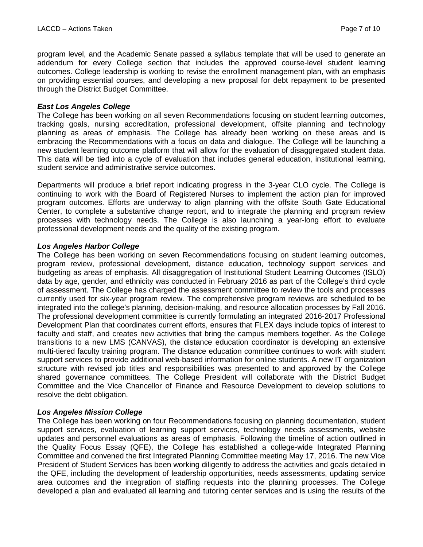program level, and the Academic Senate passed a syllabus template that will be used to generate an addendum for every College section that includes the approved course-level student learning outcomes. College leadership is working to revise the enrollment management plan, with an emphasis on providing essential courses, and developing a new proposal for debt repayment to be presented through the District Budget Committee.

## *East Los Angeles College*

The College has been working on all seven Recommendations focusing on student learning outcomes, tracking goals, nursing accreditation, professional development, offsite planning and technology planning as areas of emphasis. The College has already been working on these areas and is embracing the Recommendations with a focus on data and dialogue. The College will be launching a new student learning outcome platform that will allow for the evaluation of disaggregated student data. This data will be tied into a cycle of evaluation that includes general education, institutional learning, student service and administrative service outcomes.

Departments will produce a brief report indicating progress in the 3-year CLO cycle. The College is continuing to work with the Board of Registered Nurses to implement the action plan for improved program outcomes. Efforts are underway to align planning with the offsite South Gate Educational Center, to complete a substantive change report, and to integrate the planning and program review processes with technology needs. The College is also launching a year-long effort to evaluate professional development needs and the quality of the existing program.

## *Los Angeles Harbor College*

The College has been working on seven Recommendations focusing on student learning outcomes, program review, professional development, distance education, technology support services and budgeting as areas of emphasis. All disaggregation of Institutional Student Learning Outcomes (ISLO) data by age, gender, and ethnicity was conducted in February 2016 as part of the College's third cycle of assessment. The College has charged the assessment committee to review the tools and processes currently used for six-year program review. The comprehensive program reviews are scheduled to be integrated into the college's planning, decision-making, and resource allocation processes by Fall 2016. The professional development committee is currently formulating an integrated 2016-2017 Professional Development Plan that coordinates current efforts, ensures that FLEX days include topics of interest to faculty and staff, and creates new activities that bring the campus members together. As the College transitions to a new LMS (CANVAS), the distance education coordinator is developing an extensive multi-tiered faculty training program. The distance education committee continues to work with student support services to provide additional web-based information for online students. A new IT organization structure with revised job titles and responsibilities was presented to and approved by the College shared governance committees. The College President will collaborate with the District Budget Committee and the Vice Chancellor of Finance and Resource Development to develop solutions to resolve the debt obligation.

# *Los Angeles Mission College*

The College has been working on four Recommendations focusing on planning documentation, student support services, evaluation of learning support services, technology needs assessments, website updates and personnel evaluations as areas of emphasis. Following the timeline of action outlined in the Quality Focus Essay (QFE), the College has established a college-wide Integrated Planning Committee and convened the first Integrated Planning Committee meeting May 17, 2016. The new Vice President of Student Services has been working diligently to address the activities and goals detailed in the QFE, including the development of leadership opportunities, needs assessments, updating service area outcomes and the integration of staffing requests into the planning processes. The College developed a plan and evaluated all learning and tutoring center services and is using the results of the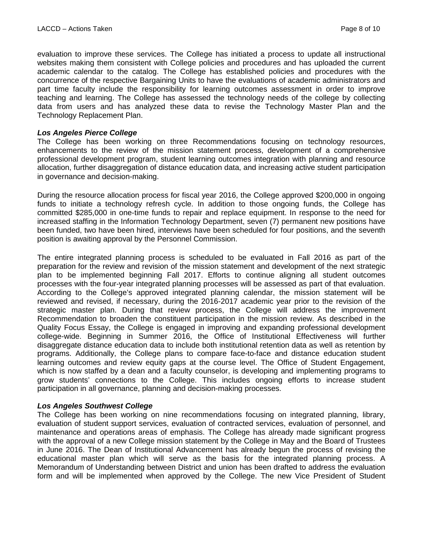evaluation to improve these services. The College has initiated a process to update all instructional websites making them consistent with College policies and procedures and has uploaded the current academic calendar to the catalog. The College has established policies and procedures with the concurrence of the respective Bargaining Units to have the evaluations of academic administrators and part time faculty include the responsibility for learning outcomes assessment in order to improve teaching and learning. The College has assessed the technology needs of the college by collecting data from users and has analyzed these data to revise the Technology Master Plan and the Technology Replacement Plan.

#### *Los Angeles Pierce College*

The College has been working on three Recommendations focusing on technology resources, enhancements to the review of the mission statement process, development of a comprehensive professional development program, student learning outcomes integration with planning and resource allocation, further disaggregation of distance education data, and increasing active student participation in governance and decision-making.

During the resource allocation process for fiscal year 2016, the College approved \$200,000 in ongoing funds to initiate a technology refresh cycle. In addition to those ongoing funds, the College has committed \$285,000 in one-time funds to repair and replace equipment. In response to the need for increased staffing in the Information Technology Department, seven (7) permanent new positions have been funded, two have been hired, interviews have been scheduled for four positions, and the seventh position is awaiting approval by the Personnel Commission.

The entire integrated planning process is scheduled to be evaluated in Fall 2016 as part of the preparation for the review and revision of the mission statement and development of the next strategic plan to be implemented beginning Fall 2017. Efforts to continue aligning all student outcomes processes with the four-year integrated planning processes will be assessed as part of that evaluation. According to the College's approved integrated planning calendar, the mission statement will be reviewed and revised, if necessary, during the 2016-2017 academic year prior to the revision of the strategic master plan. During that review process, the College will address the improvement Recommendation to broaden the constituent participation in the mission review. As described in the Quality Focus Essay, the College is engaged in improving and expanding professional development college-wide. Beginning in Summer 2016, the Office of Institutional Effectiveness will further disaggregate distance education data to include both institutional retention data as well as retention by programs. Additionally, the College plans to compare face-to-face and distance education student learning outcomes and review equity gaps at the course level. The Office of Student Engagement, which is now staffed by a dean and a faculty counselor, is developing and implementing programs to grow students' connections to the College. This includes ongoing efforts to increase student participation in all governance, planning and decision-making processes.

#### *Los Angeles Southwest College*

The College has been working on nine recommendations focusing on integrated planning, library, evaluation of student support services, evaluation of contracted services, evaluation of personnel, and maintenance and operations areas of emphasis. The College has already made significant progress with the approval of a new College mission statement by the College in May and the Board of Trustees in June 2016. The Dean of Institutional Advancement has already begun the process of revising the educational master plan which will serve as the basis for the integrated planning process. A Memorandum of Understanding between District and union has been drafted to address the evaluation form and will be implemented when approved by the College. The new Vice President of Student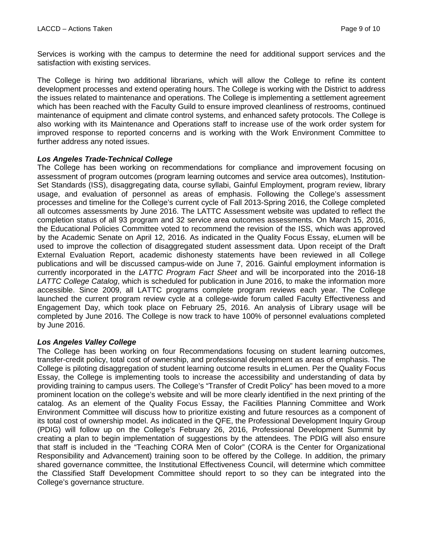Services is working with the campus to determine the need for additional support services and the satisfaction with existing services.

The College is hiring two additional librarians, which will allow the College to refine its content development processes and extend operating hours. The College is working with the District to address the issues related to maintenance and operations. The College is implementing a settlement agreement which has been reached with the Faculty Guild to ensure improved cleanliness of restrooms, continued maintenance of equipment and climate control systems, and enhanced safety protocols. The College is also working with its Maintenance and Operations staff to increase use of the work order system for improved response to reported concerns and is working with the Work Environment Committee to further address any noted issues.

# *Los Angeles Trade-Technical College*

The College has been working on recommendations for compliance and improvement focusing on assessment of program outcomes (program learning outcomes and service area outcomes), Institution-Set Standards (ISS), disaggregating data, course syllabi, Gainful Employment, program review, library usage, and evaluation of personnel as areas of emphasis. Following the College's assessment processes and timeline for the College's current cycle of Fall 2013-Spring 2016, the College completed all outcomes assessments by June 2016. The LATTC Assessment website was updated to reflect the completion status of all 93 program and 32 service area outcomes assessments. On March 15, 2016, the Educational Policies Committee voted to recommend the revision of the ISS, which was approved by the Academic Senate on April 12, 2016. As indicated in the Quality Focus Essay, eLumen will be used to improve the collection of disaggregated student assessment data. Upon receipt of the Draft External Evaluation Report, academic dishonesty statements have been reviewed in all College publications and will be discussed campus-wide on June 7, 2016. Gainful employment information is currently incorporated in the *LATTC Program Fact Sheet* and will be incorporated into the 2016-18 *LATTC College Catalog*, which is scheduled for publication in June 2016, to make the information more accessible. Since 2009, all LATTC programs complete program reviews each year. The College launched the current program review cycle at a college-wide forum called Faculty Effectiveness and Engagement Day, which took place on February 25, 2016. An analysis of Library usage will be completed by June 2016. The College is now track to have 100% of personnel evaluations completed by June 2016.

# *Los Angeles Valley College*

The College has been working on four Recommendations focusing on student learning outcomes, transfer-credit policy, total cost of ownership, and professional development as areas of emphasis. The College is piloting disaggregation of student learning outcome results in eLumen. Per the Quality Focus Essay, the College is implementing tools to increase the accessibility and understanding of data by providing training to campus users. The College's "Transfer of Credit Policy" has been moved to a more prominent location on the college's website and will be more clearly identified in the next printing of the catalog. As an element of the Quality Focus Essay, the Facilities Planning Committee and Work Environment Committee will discuss how to prioritize existing and future resources as a component of its total cost of ownership model. As indicated in the QFE, the Professional Development Inquiry Group (PDIG) will follow up on the College's February 26, 2016, Professional Development Summit by creating a plan to begin implementation of suggestions by the attendees. The PDIG will also ensure that staff is included in the "Teaching CORA Men of Color" (CORA is the Center for Organizational Responsibility and Advancement) training soon to be offered by the College. In addition, the primary shared governance committee, the Institutional Effectiveness Council, will determine which committee the Classified Staff Development Committee should report to so they can be integrated into the College's governance structure.